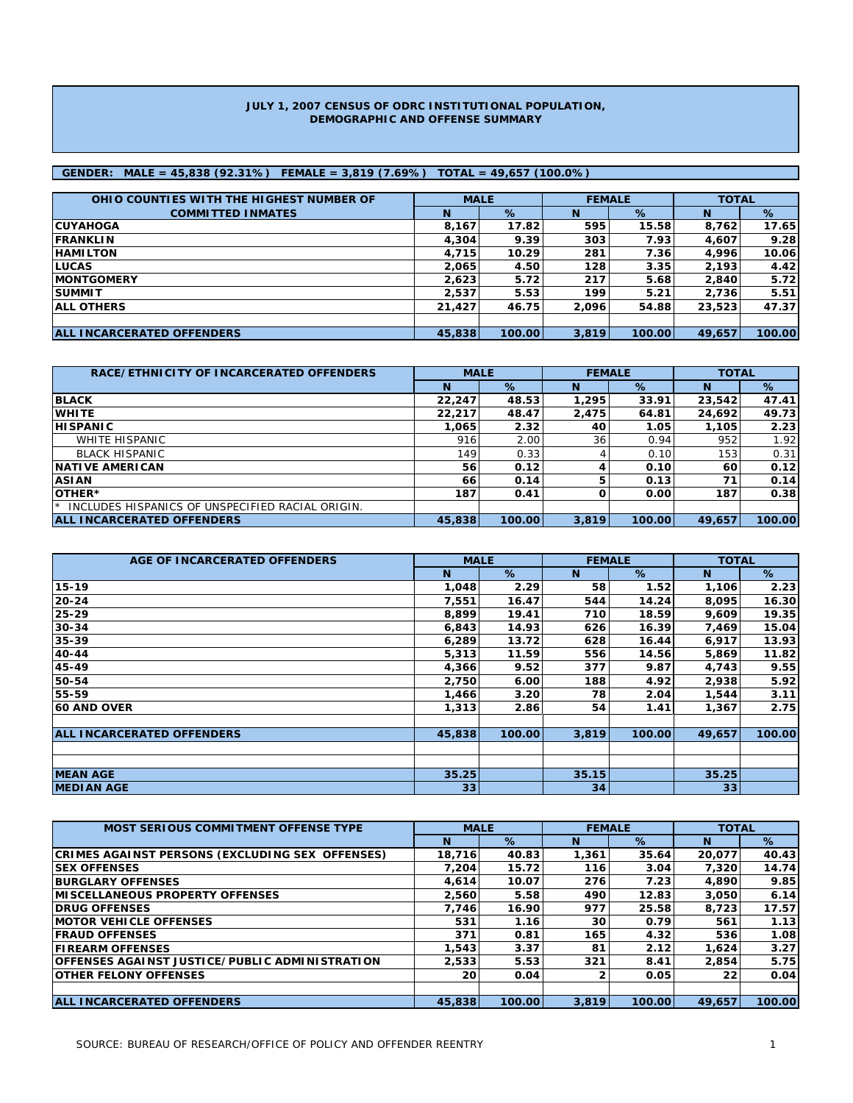#### **JULY 1, 2007 CENSUS OF ODRC INSTITUTIONAL POPULATION, DEMOGRAPHIC AND OFFENSE SUMMARY**

### **GENDER: MALE = 45,838 (92.31%) FEMALE = 3,819 (7.69%) TOTAL = 49,657 (100.0%)**

| OHIO COUNTIES WITH THE HIGHEST NUMBER OF | <b>MALE</b> |        |       | <b>FEMALE</b> | <b>TOTAL</b> |        |
|------------------------------------------|-------------|--------|-------|---------------|--------------|--------|
| <b>COMMITTED INMATES</b>                 | N           | %      | N     | %             | <b>N</b>     | %      |
| <b>ICUYAHOGA</b>                         | 8.167       | 17.82  | 595   | 15.58         | 8,762        | 17.65  |
| <b>IFRANKLIN</b>                         | 4,304       | 9.39   | 303   | 7.93          | 4,607        | 9.28   |
| <b>HAMILTON</b>                          | 4.715       | 10.29  | 281   | 7.36          | 4,996        | 10.06  |
| <b>ILUCAS</b>                            | 2,065       | 4.50   | 128   | 3.35          | 2,193        | 4.42   |
| <b>IMONTGOMERY</b>                       | 2.623       | 5.72   | 217   | 5.68          | 2.840        | 5.72   |
| <b>SUMMIT</b>                            | 2,537       | 5.53   | 199   | 5.21          | 2,736        | 5.51   |
| <b>JALL OTHERS</b>                       | 21,427      | 46.75  | 2.096 | 54.88         | 23,523       | 47.37  |
|                                          |             |        |       |               |              |        |
| <b>ALL INCARCERATED OFFENDERS</b>        | 45,838      | 100.00 | 3,819 | 100.00        | 49,657       | 100.00 |

| RACE/ETHNICITY OF INCARCERATED OFFENDERS              | <b>MALE</b> |        | <b>FEMALE</b> |        | <b>TOTAL</b> |        |  |
|-------------------------------------------------------|-------------|--------|---------------|--------|--------------|--------|--|
|                                                       | N           | %      | N             | %      | N            | %      |  |
| <b>BLACK</b>                                          | 22,247      | 48.53  | 1,295         | 33.91  | 23,542       | 47.41  |  |
| <b>WHITE</b>                                          | 22,217      | 48.47  | 2,475         | 64.81  | 24,692       | 49.73  |  |
| <b>HISPANIC</b>                                       | 1.065       | 2.32   | 40            | 1.05   | 1.105        | 2.23   |  |
| WHITE HISPANIC                                        | 916         | 2.00   | 36            | 0.94   | 952          | 1.92   |  |
| <b>BLACK HISPANIC</b>                                 | 149         | 0.33   |               | 0.10   | 153          | 0.31   |  |
| <b>INATIVE AMERICAN</b>                               | 56          | 0.12   |               | 0.10   | 60           | 0.12   |  |
| <b>ASIAN</b>                                          | 66          | 0.14   |               | 0.13   | 71           | 0.14   |  |
| <b>IOTHER*</b>                                        | 187         | 0.41   |               | 0.00   | 187          | 0.38   |  |
| INCLUDES HISPANICS OF UNSPECIFIED RACIAL ORIGIN.<br>★ |             |        |               |        |              |        |  |
| <b>ALL INCARCERATED OFFENDERS</b>                     | 45,838      | 100.00 | 3,819         | 100.00 | 49,657       | 100.00 |  |

| AGE OF INCARCERATED OFFENDERS     | <b>MALE</b> |        | <b>FEMALE</b>   |        | <b>TOTAL</b>    |        |
|-----------------------------------|-------------|--------|-----------------|--------|-----------------|--------|
|                                   | N           | %      | N               | $\%$   | N               | %      |
| 15-19                             | 1,048       | 2.29   | 58              | 1.52   | 1,106           | 2.23   |
| $20 - 24$                         | 7,551       | 16.47  | 544             | 14.24  | 8,095           | 16.30  |
| 25-29                             | 8,899       | 19.41  | 710             | 18.59  | 9,609           | 19.35  |
| 30-34                             | 6,843       | 14.93  | 626             | 16.39  | 7,469           | 15.04  |
| 35-39                             | 6,289       | 13.72  | 628             | 16.44  | 6,917           | 13.93  |
| 40-44                             | 5,313       | 11.59  | 556             | 14.56  | 5,869           | 11.82  |
| 45-49                             | 4,366       | 9.52   | 377             | 9.87   | 4,743           | 9.55   |
| 50-54                             | 2,750       | 6.00   | 188             | 4.92   | 2,938           | 5.92   |
| 55-59                             | 1,466       | 3.20   | 78              | 2.04   | 1,544           | 3.11   |
| <b>60 AND OVER</b>                | 1,313       | 2.86   | 54              | 1.41   | 1,367           | 2.75   |
|                                   |             |        |                 |        |                 |        |
| <b>ALL INCARCERATED OFFENDERS</b> | 45,838      | 100.00 | 3,819           | 100.00 | 49,657          | 100.00 |
|                                   |             |        |                 |        |                 |        |
| <b>MEAN AGE</b>                   | 35.25       |        | 35.15           |        | 35.25           |        |
| <b>MEDIAN AGE</b>                 | 33          |        | 34 <sup>1</sup> |        | 33 <sup>1</sup> |        |

| <b>MOST SERIOUS COMMITMENT OFFENSE TYPE</b>            | <b>MALE</b> |        | <b>FEMALE</b> |        | <b>TOTAL</b> |        |
|--------------------------------------------------------|-------------|--------|---------------|--------|--------------|--------|
|                                                        | N           | $\%$   | N             | %      | N            | %      |
| <b>CRIMES AGAINST PERSONS (EXCLUDING SEX OFFENSES)</b> | 18,716      | 40.83  | 1,361         | 35.64  | 20.077       | 40.43  |
| <b>ISEX OFFENSES</b>                                   | 7.204       | 15.72  | 116           | 3.04   | 7.320        | 14.74  |
| <b>BURGLARY OFFENSES</b>                               | 4.614       | 10.07  | 276           | 7.23   | 4.890        | 9.85   |
| <b>IMISCELLANEOUS PROPERTY OFFENSES</b>                | 2.560       | 5.58   | 490           | 12.83  | 3,050        | 6.14   |
| <b>IDRUG OFFENSES</b>                                  | 7.746       | 16.90  | 977           | 25.58  | 8,723        | 17.57  |
| <b>IMOTOR VEHICLE OFFENSES</b>                         | 531         | 1.16   | 30            | 0.79   | 561          | 1.13   |
| <b>IFRAUD OFFENSES</b>                                 | 371         | 0.81   | 165           | 4.32   | 536          | 1.08   |
| <b>IFIREARM OFFENSES</b>                               | 1,543       | 3.37   | 81            | 2.12   | 1,624        | 3.27   |
| IOFFENSES AGAINST JUSTICE/PUBLIC ADMINISTRATION        | 2,533       | 5.53   | 321           | 8.41   | 2.854        | 5.75   |
| <b>OTHER FELONY OFFENSES</b>                           | 20          | 0.04   |               | 0.05   | 22           | 0.04   |
|                                                        |             |        |               |        |              |        |
| <b>ALL INCARCERATED OFFENDERS</b>                      | 45,838      | 100.00 | 3.819         | 100.00 | 49.657       | 100.00 |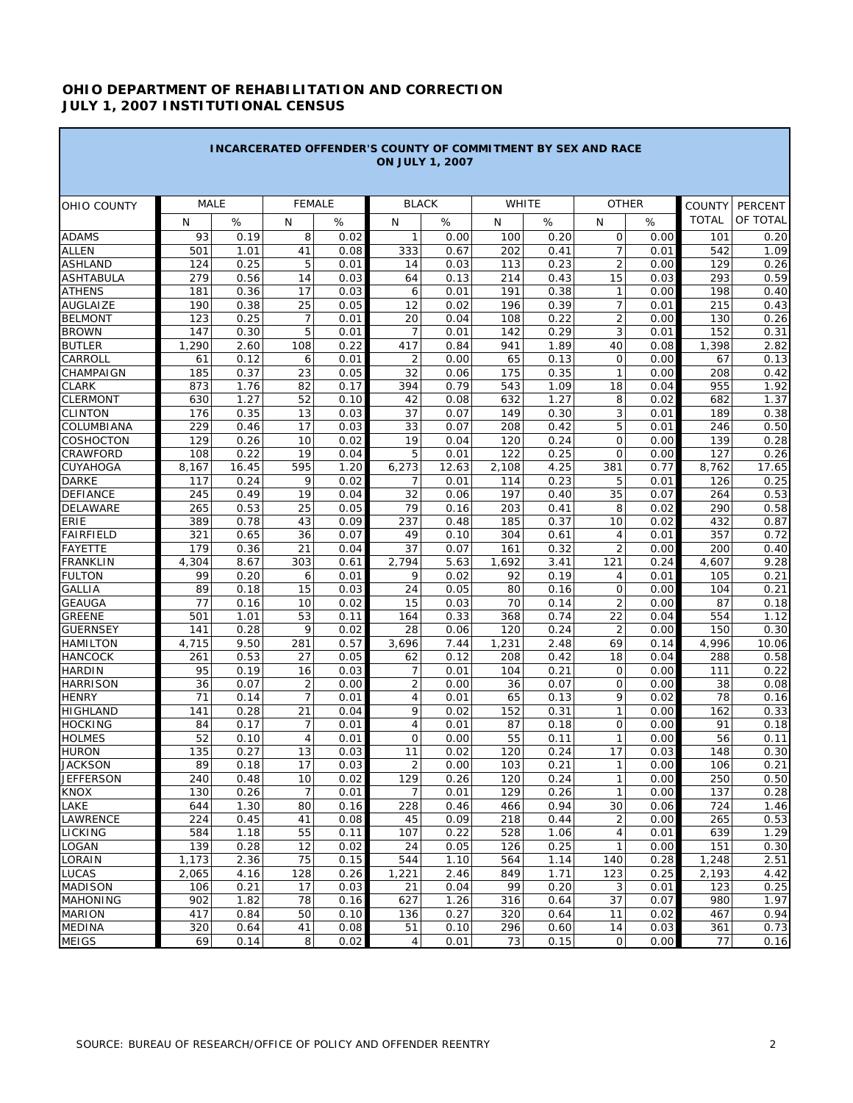## **OHIO DEPARTMENT OF REHABILITATION AND CORRECTION JULY 1, 2007 INSTITUTIONAL CENSUS**

a sa kacamatan ing Kabupatèn Kabupatèn Kabupatèn Kabupatèn Kabupatèn Kabupatèn Kabupatèn Kabupatèn Kabupatèn K

**Contract Contract Contract** 

|                                 |             |              |                      |              | <b>INCARCERATED OFFENDER'S COUNTY OF COMMITMENT BY SEX AND RACE</b><br><b>ON JULY 1, 2007</b> |               |              |              |                        |              |                               |                     |
|---------------------------------|-------------|--------------|----------------------|--------------|-----------------------------------------------------------------------------------------------|---------------|--------------|--------------|------------------------|--------------|-------------------------------|---------------------|
|                                 | <b>MALE</b> |              | <b>FEMALE</b>        |              | <b>BLACK</b>                                                                                  |               | <b>WHITE</b> |              |                        | <b>OTHER</b> |                               |                     |
| OHIO COUNTY                     | N           | $\%$         | N                    | %            | N                                                                                             | $\%$          | N            | $\%$         | N                      | %            | <b>COUNTY</b><br><b>TOTAL</b> | PERCENT<br>OF TOTAL |
| <b>ADAMS</b>                    | 93          | 0.19         | 8                    | 0.02         | 1                                                                                             | 0.00          | 100          | 0.20         | $\mathbf 0$            | 0.00         | 101                           | 0.20                |
| <b>ALLEN</b>                    | 501         | 1.01         | 41                   | 0.08         | 333                                                                                           | 0.67          | 202          | 0.41         | $\overline{7}$         | 0.01         | 542                           | 1.09                |
| <b>ASHLAND</b>                  | 124         | 0.25         | 5                    | 0.01         | 14                                                                                            | 0.03          | 113          | 0.23         | $\overline{2}$         | 0.00         | 129                           | 0.26                |
| <b>ASHTABULA</b>                | 279         | 0.56         | 14                   | 0.03         | 64                                                                                            | 0.13          | 214          | 0.43         | 15                     | 0.03         | 293                           | 0.59                |
| <b>ATHENS</b>                   | 181         | 0.36         | 17                   | 0.03         | 6                                                                                             | 0.01          | 191          | 0.38         | $\mathbf{1}$           | 0.00         | 198                           | 0.40                |
| <b>AUGLAIZE</b>                 | 190         | 0.38         | 25                   | 0.05         | 12                                                                                            | 0.02          | 196          | 0.39         | $\overline{7}$         | 0.01         | 215                           | 0.43                |
| <b>BELMONT</b>                  | 123         | 0.25         | $\overline{7}$       | 0.01         | 20                                                                                            | 0.04          | 108          | 0.22         | $\overline{2}$         | 0.00         | 130                           | 0.26                |
| <b>BROWN</b>                    | 147         | 0.30         | 5                    | 0.01         | 7                                                                                             | 0.01          | 142          | 0.29         | 3                      | 0.01         | 152                           | 0.31                |
| <b>BUTLER</b>                   | 1,290       | 2.60         | 108                  | 0.22         | 417                                                                                           | 0.84          | 941          | 1.89         | 40                     | 0.08         | 1,398                         | 2.82                |
| CARROLL                         | 61          | 0.12         | 6                    | 0.01         | $\overline{2}$                                                                                | 0.00          | 65           | 0.13         | $\mathbf 0$            | 0.00         | 67                            | 0.13                |
| <b>CHAMPAIGN</b>                | 185         | 0.37         | 23                   | 0.05         | 32                                                                                            | 0.06          | 175          | 0.35         | $\mathbf{1}$           | 0.00         | 208                           | 0.42                |
| <b>CLARK</b>                    | 873         | 1.76         | 82                   | 0.17         | 394                                                                                           | 0.79          | 543          | 1.09         | 18                     | 0.04         | 955                           | 1.92                |
| <b>CLERMONT</b>                 | 630         | 1.27         | 52                   | 0.10         | 42                                                                                            | 0.08          | 632          | 1.27         | 8                      | 0.02         | 682                           | 1.37                |
| <b>CLINTON</b>                  | 176         | 0.35         | 13                   | 0.03         | 37                                                                                            | 0.07          | 149          | 0.30         | 3                      | 0.01         | 189                           | 0.38                |
| COLUMBIANA                      | 229         | 0.46         | 17                   | 0.03         | 33                                                                                            | 0.07          | 208          | 0.42         | 5                      | 0.01         | 246                           | 0.50                |
| <b>COSHOCTON</b><br>CRAWFORD    | 129<br>108  | 0.26<br>0.22 | 10<br>19             | 0.02<br>0.04 | 19<br>5                                                                                       | 0.04          | 120<br>122   | 0.24<br>0.25 | $\circ$<br>$\mathbf 0$ | 0.00<br>0.00 | 139<br>127                    | 0.28<br>0.26        |
| <b>CUYAHOGA</b>                 | 8,167       | 16.45        | 595                  | 1.20         | 6,273                                                                                         | 0.01<br>12.63 | 2,108        | 4.25         | 381                    | 0.77         | 8,762                         | 17.65               |
| <b>DARKE</b>                    | 117         | 0.24         | 9                    | 0.02         | 7                                                                                             | 0.01          | 114          | 0.23         | 5                      | 0.01         | 126                           | 0.25                |
| <b>DEFIANCE</b>                 | 245         | 0.49         | 19                   | 0.04         | 32                                                                                            | 0.06          | 197          | 0.40         | 35                     | 0.07         | 264                           | 0.53                |
| <b>DELAWARE</b>                 | 265         | 0.53         | 25                   | 0.05         | 79                                                                                            | 0.16          | 203          | 0.41         | 8                      | 0.02         | 290                           | 0.58                |
| <b>ERIE</b>                     | 389         | 0.78         | 43                   | 0.09         | 237                                                                                           | 0.48          | 185          | 0.37         | 10                     | 0.02         | 432                           | 0.87                |
| <b>FAIRFIELD</b>                | 321         | 0.65         | 36                   | 0.07         | 49                                                                                            | 0.10          | 304          | 0.61         | $\overline{4}$         | 0.01         | 357                           | 0.72                |
| <b>FAYETTE</b>                  | 179         | 0.36         | 21                   | 0.04         | 37                                                                                            | 0.07          | 161          | 0.32         | $\overline{2}$         | 0.00         | 200                           | 0.40                |
| <b>FRANKLIN</b>                 | 4,304       | 8.67         | 303                  | 0.61         | 2,794                                                                                         | 5.63          | 1,692        | 3.41         | 121                    | 0.24         | 4,607                         | 9.28                |
| <b>FULTON</b>                   | 99          | 0.20         | 6                    | 0.01         | 9                                                                                             | 0.02          | 92           | 0.19         | $\overline{4}$         | 0.01         | 105                           | 0.21                |
| <b>GALLIA</b>                   | 89          | 0.18         | 15                   | 0.03         | 24                                                                                            | 0.05          | 80           | 0.16         | $\mathbf 0$            | 0.00         | 104                           | 0.21                |
| <b>GEAUGA</b>                   | 77          | 0.16         | 10                   | 0.02         | 15                                                                                            | 0.03          | 70           | 0.14         | $\overline{2}$         | 0.00         | 87                            | 0.18                |
| <b>GREENE</b>                   | 501         | 1.01         | 53                   | 0.11         | 164                                                                                           | 0.33          | 368          | 0.74         | 22                     | 0.04         | 554                           | 1.12                |
| <b>GUERNSEY</b>                 | 141         | 0.28         | 9                    | 0.02         | 28                                                                                            | 0.06          | 120          | 0.24         | 2                      | 0.00         | 150                           | 0.30                |
| <b>HAMILTON</b>                 | 4,715       | 9.50         | 281                  | 0.57         | 3,696                                                                                         | 7.44          | 1,231        | 2.48         | 69                     | 0.14         | 4,996                         | 10.06               |
| <b>HANCOCK</b>                  | 261         | 0.53         | 27                   | 0.05         | 62                                                                                            | 0.12          | 208          | 0.42         | 18                     | 0.04         | 288                           | 0.58                |
| <b>HARDIN</b>                   | 95          | 0.19         | 16                   | 0.03         | 7                                                                                             | 0.01          | 104          | 0.21         | $\mathbf 0$            | 0.00         | 111                           | 0.22                |
| <b>HARRISON</b>                 | 36          | 0.07         | $\overline{2}$       | 0.00         | 2                                                                                             | 0.00          | 36           | 0.07         | $\circ$<br>9           | 0.00         | 38                            | 0.08                |
| <b>HENRY</b><br><b>HIGHLAND</b> | 71<br>141   | 0.14<br>0.28 | $\overline{7}$<br>21 | 0.01<br>0.04 | 4<br>9                                                                                        | 0.01<br>0.02  | 65<br>152    | 0.13<br>0.31 | $\mathbf{1}$           | 0.02<br>0.00 | 78<br>162                     | 0.16<br>0.33        |
| <b>HOCKING</b>                  | 84          | 0.17         | 7                    | 0.01         | 4                                                                                             | 0.01          | 87           | 0.18         | $\circ$                | 0.00         | 91                            | 0.18                |
| <b>HOLMES</b>                   | 52          | 0.10         | $\overline{4}$       | 0.01         | 0                                                                                             | 0.00          | 55           | 0.11         | $\mathbf{1}$           | 0.00         | 56                            | 0.11                |
| <b>HURON</b>                    | 135         | 0.27         | 13                   | 0.03         | 11                                                                                            | 0.02          | 120          | 0.24         | 17                     | 0.03         | 148                           | 0.30                |
|                                 | 89          | 0.18         | 17                   | 0.03         | 2                                                                                             | 0.00          | 103          | 0.21         | 1                      | 0.00         | 106                           | 0.21                |
| JACKSON<br>JEFFERSON            | 240         | 0.48         | 10                   | 0.02         | 129                                                                                           | 0.26          | 120          | 0.24         | $\mathbf{1}$           | 0.00         | 250                           | 0.50                |
| <b>KNOX</b>                     | 130         | 0.26         | 7                    | 0.01         | 7                                                                                             | 0.01          | 129          | 0.26         | $\mathbf{1}$           | 0.00         | 137                           | 0.28                |
| LAKE                            | 644         | 1.30         | 80                   | 0.16         | 228                                                                                           | 0.46          | 466          | 0.94         | 30                     | 0.06         | 724                           | 1.46                |
| <b>LAWRENCE</b>                 | 224         | 0.45         | 41                   | 0.08         | 45                                                                                            | 0.09          | 218          | 0.44         | $\overline{2}$         | 0.00         | 265                           | 0.53                |
| <b>LICKING</b>                  | 584         | 1.18         | 55                   | 0.11         | 107                                                                                           | 0.22          | 528          | 1.06         | 4                      | 0.01         | 639                           | 1.29                |
| LOGAN                           | 139         | 0.28         | 12                   | 0.02         | 24                                                                                            | 0.05          | 126          | 0.25         | $\mathbf{1}$           | 0.00         | 151                           | 0.30                |
| LORAIN                          | 1,173       | 2.36         | 75                   | 0.15         | 544                                                                                           | 1.10          | 564          | 1.14         | 140                    | 0.28         | 1,248                         | 2.51                |
| <b>LUCAS</b>                    | 2,065       | 4.16         | 128                  | 0.26         | 1,221                                                                                         | 2.46          | 849          | 1.71         | 123                    | 0.25         | 2,193                         | 4.42                |
| <b>MADISON</b>                  | 106         | 0.21         | 17                   | 0.03         | 21                                                                                            | 0.04          | 99           | 0.20         | 3                      | 0.01         | 123                           | 0.25                |
| <b>MAHONING</b>                 | 902         | 1.82         | 78                   | 0.16         | 627                                                                                           | 1.26          | 316          | 0.64         | 37                     | 0.07         | 980                           | 1.97                |
| <b>MARION</b>                   | 417         | 0.84         | 50                   | 0.10         | 136                                                                                           | 0.27          | 320          | 0.64         | 11                     | 0.02         | 467                           | 0.94                |
| <b>MEDINA</b>                   | 320         | 0.64         | 41                   | 0.08         | 51                                                                                            | 0.10          | 296          | 0.60         | 14                     | 0.03         | 361                           | 0.73                |
| <b>MEIGS</b>                    | 69          | 0.14         | 8                    | 0.02         | 4                                                                                             | 0.01          | 73           | 0.15         | $\mathbf 0$            | 0.00         | 77                            | 0.16                |

п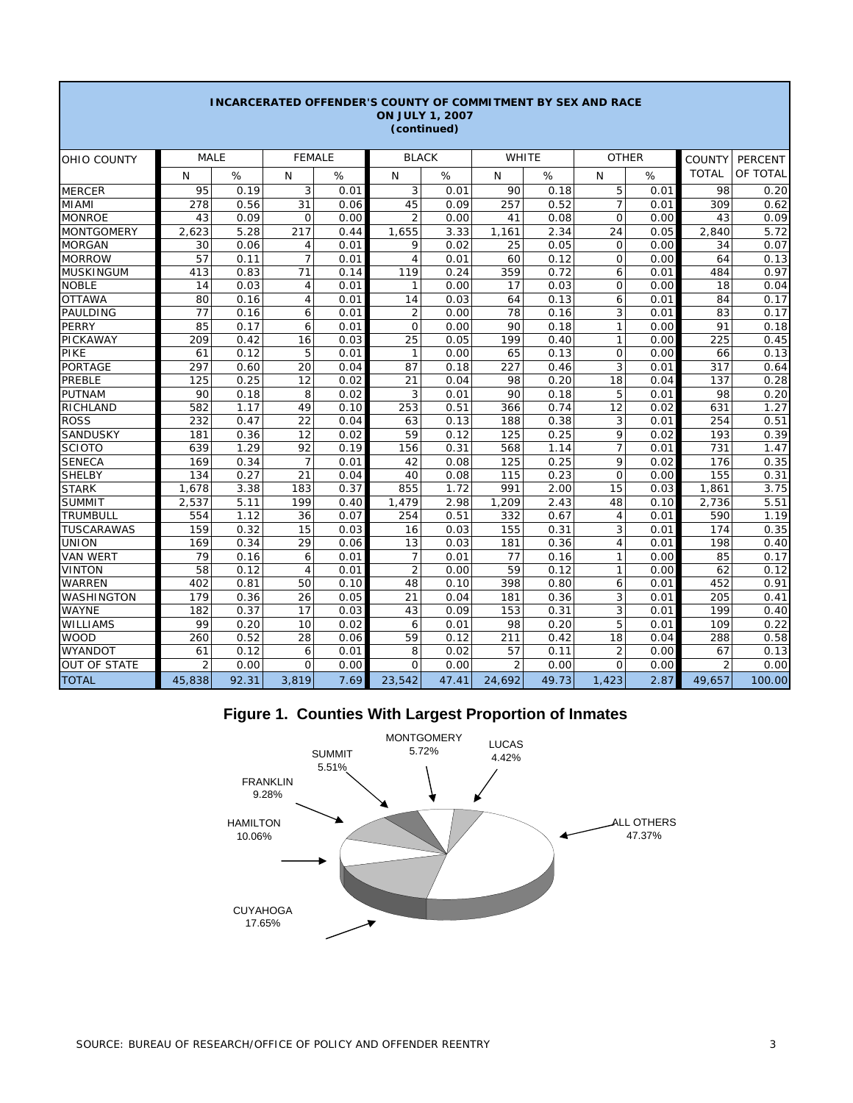|                     |                |       |                |      | <b>INCARCERATED OFFENDER'S COUNTY OF COMMITMENT BY SEX AND RACE</b> | <b>ON JULY 1, 2007</b><br>(continued) |                |       |                |      |                |                |
|---------------------|----------------|-------|----------------|------|---------------------------------------------------------------------|---------------------------------------|----------------|-------|----------------|------|----------------|----------------|
| OHIO COUNTY         | <b>MALE</b>    |       | <b>FEMALE</b>  |      | <b>BLACK</b>                                                        |                                       |                | WHITE | <b>OTHER</b>   |      | <b>COUNTY</b>  | <b>PERCENT</b> |
|                     | N              | %     | N              | %    | N                                                                   | %                                     | N              | %     | N              | %    | <b>TOTAL</b>   | OF TOTAL       |
| <b>MERCER</b>       | 95             | 0.19  | 3              | 0.01 | 3                                                                   | 0.01                                  | 90             | 0.18  | 5              | 0.01 | 98             | 0.20           |
| <b>MIAMI</b>        | 278            | 0.56  | 31             | 0.06 | 45                                                                  | 0.09                                  | 257            | 0.52  | $\overline{7}$ | 0.01 | 309            | 0.62           |
| <b>MONROE</b>       | 43             | 0.09  | $\overline{0}$ | 0.00 | $\overline{2}$                                                      | 0.00                                  | 41             | 0.08  | $\Omega$       | 0.00 | 43             | 0.09           |
| <b>MONTGOMERY</b>   | 2,623          | 5.28  | 217            | 0.44 | 1,655                                                               | 3.33                                  | 1,161          | 2.34  | 24             | 0.05 | 2,840          | 5.72           |
| <b>MORGAN</b>       | 30             | 0.06  | 4              | 0.01 | 9                                                                   | 0.02                                  | 25             | 0.05  | $\mathbf 0$    | 0.00 | 34             | 0.07           |
| <b>MORROW</b>       | 57             | 0.11  | $\overline{7}$ | 0.01 | $\overline{4}$                                                      | 0.01                                  | 60             | 0.12  | $\mathbf 0$    | 0.00 | 64             | 0.13           |
| <b>MUSKINGUM</b>    | 413            | 0.83  | 71             | 0.14 | 119                                                                 | 0.24                                  | 359            | 0.72  | 6              | 0.01 | 484            | 0.97           |
| <b>NOBLE</b>        | 14             | 0.03  | $\overline{4}$ | 0.01 | 1                                                                   | 0.00                                  | 17             | 0.03  | $\mathbf 0$    | 0.00 | 18             | 0.04           |
| <b>OTTAWA</b>       | 80             | 0.16  | $\overline{4}$ | 0.01 | 14                                                                  | 0.03                                  | 64             | 0.13  | 6              | 0.01 | 84             | 0.17           |
| PAULDING            | 77             | 0.16  | 6              | 0.01 | $\overline{2}$                                                      | 0.00                                  | 78             | 0.16  | 3              | 0.01 | 83             | 0.17           |
| <b>PERRY</b>        | 85             | 0.17  | 6              | 0.01 | $\mathbf{O}$                                                        | 0.00                                  | 90             | 0.18  | 1              | 0.00 | 91             | 0.18           |
| PICKAWAY            | 209            | 0.42  | 16             | 0.03 | 25                                                                  | 0.05                                  | 199            | 0.40  | $\mathbf{1}$   | 0.00 | 225            | 0.45           |
| PIKE                | 61             | 0.12  | 5              | 0.01 | $\mathbf{1}$                                                        | 0.00                                  | 65             | 0.13  | $\Omega$       | 0.00 | 66             | 0.13           |
| <b>PORTAGE</b>      | 297            | 0.60  | 20             | 0.04 | 87                                                                  | 0.18                                  | 227            | 0.46  | 3              | 0.01 | 317            | 0.64           |
| PREBLE              | 125            | 0.25  | 12             | 0.02 | 21                                                                  | 0.04                                  | 98             | 0.20  | 18             | 0.04 | 137            | 0.28           |
| <b>PUTNAM</b>       | 90             | 0.18  | 8              | 0.02 | 3                                                                   | 0.01                                  | 90             | 0.18  | 5              | 0.01 | 98             | 0.20           |
| <b>RICHLAND</b>     | 582            | 1.17  | 49             | 0.10 | 253                                                                 | 0.51                                  | 366            | 0.74  | 12             | 0.02 | 631            | 1.27           |
| <b>ROSS</b>         | 232            | 0.47  | 22             | 0.04 | 63                                                                  | 0.13                                  | 188            | 0.38  | 3              | 0.01 | 254            | 0.51           |
| SANDUSKY            | 181            | 0.36  | 12             | 0.02 | 59                                                                  | 0.12                                  | 125            | 0.25  | 9              | 0.02 | 193            | 0.39           |
| <b>SCIOTO</b>       | 639            | 1.29  | 92             | 0.19 | 156                                                                 | 0.31                                  | 568            | 1.14  | $\overline{7}$ | 0.01 | 731            | 1.47           |
| <b>SENECA</b>       | 169            | 0.34  | $\overline{7}$ | 0.01 | 42                                                                  | 0.08                                  | 125            | 0.25  | 9              | 0.02 | 176            | 0.35           |
| <b>SHELBY</b>       | 134            | 0.27  | 21             | 0.04 | 40                                                                  | 0.08                                  | 115            | 0.23  | $\Omega$       | 0.00 | 155            | 0.31           |
| <b>STARK</b>        | 1,678          | 3.38  | 183            | 0.37 | 855                                                                 | 1.72                                  | 991            | 2.00  | 15             | 0.03 | 1,861          | 3.75           |
| <b>SUMMIT</b>       | 2,537          | 5.11  | 199            | 0.40 | 1,479                                                               | 2.98                                  | 1,209          | 2.43  | 48             | 0.10 | 2,736          | 5.51           |
| <b>TRUMBULL</b>     | 554            | 1.12  | 36             | 0.07 | 254                                                                 | 0.51                                  | 332            | 0.67  | 4              | 0.01 | 590            | 1.19           |
| <b>TUSCARAWAS</b>   | 159            | 0.32  | 15             | 0.03 | 16                                                                  | 0.03                                  | 155            | 0.31  | 3              | 0.01 | 174            | 0.35           |
| <b>UNION</b>        | 169            | 0.34  | 29             | 0.06 | 13                                                                  | 0.03                                  | 181            | 0.36  | 4              | 0.01 | 198            | 0.40           |
| <b>VAN WERT</b>     | 79             | 0.16  | 6              | 0.01 | $\overline{7}$                                                      | 0.01                                  | 77             | 0.16  | 1              | 0.00 | 85             | 0.17           |
| <b>VINTON</b>       | 58             | 0.12  | $\overline{4}$ | 0.01 | $\overline{2}$                                                      | 0.00                                  | 59             | 0.12  | 1              | 0.00 | 62             | 0.12           |
| <b>WARREN</b>       | 402            | 0.81  | 50             | 0.10 | 48                                                                  | 0.10                                  | 398            | 0.80  | 6              | 0.01 | 452            | 0.91           |
| WASHINGTON          | 179            | 0.36  | 26             | 0.05 | 21                                                                  | 0.04                                  | 181            | 0.36  | 3              | 0.01 | 205            | 0.41           |
| <b>WAYNE</b>        | 182            | 0.37  | 17             | 0.03 | 43                                                                  | 0.09                                  | 153            | 0.31  | 3              | 0.01 | 199            | 0.40           |
| WILLIAMS            | 99             | 0.20  | 10             | 0.02 | 6                                                                   | 0.01                                  | 98             | 0.20  | 5              | 0.01 | 109            | 0.22           |
| <b>WOOD</b>         | 260            | 0.52  | 28             | 0.06 | 59                                                                  | 0.12                                  | 211            | 0.42  | 18             | 0.04 | 288            | 0.58           |
| <b>WYANDOT</b>      | 61             | 0.12  | 6              | 0.01 | 8                                                                   | 0.02                                  | 57             | 0.11  | $\overline{2}$ | 0.00 | 67             | 0.13           |
| <b>OUT OF STATE</b> | $\overline{2}$ | 0.00  | $\Omega$       | 0.00 | $\Omega$                                                            | 0.00                                  | $\overline{2}$ | 0.00  | $\Omega$       | 0.00 | $\overline{2}$ | 0.00           |
| <b>TOTAL</b>        | 45,838         | 92.31 | 3,819          | 7.69 | 23,542                                                              | 47.41                                 | 24,692         | 49.73 | 1,423          | 2.87 | 49,657         | 100.00         |

# **Figure 1. Counties With Largest Proportion of Inmates**

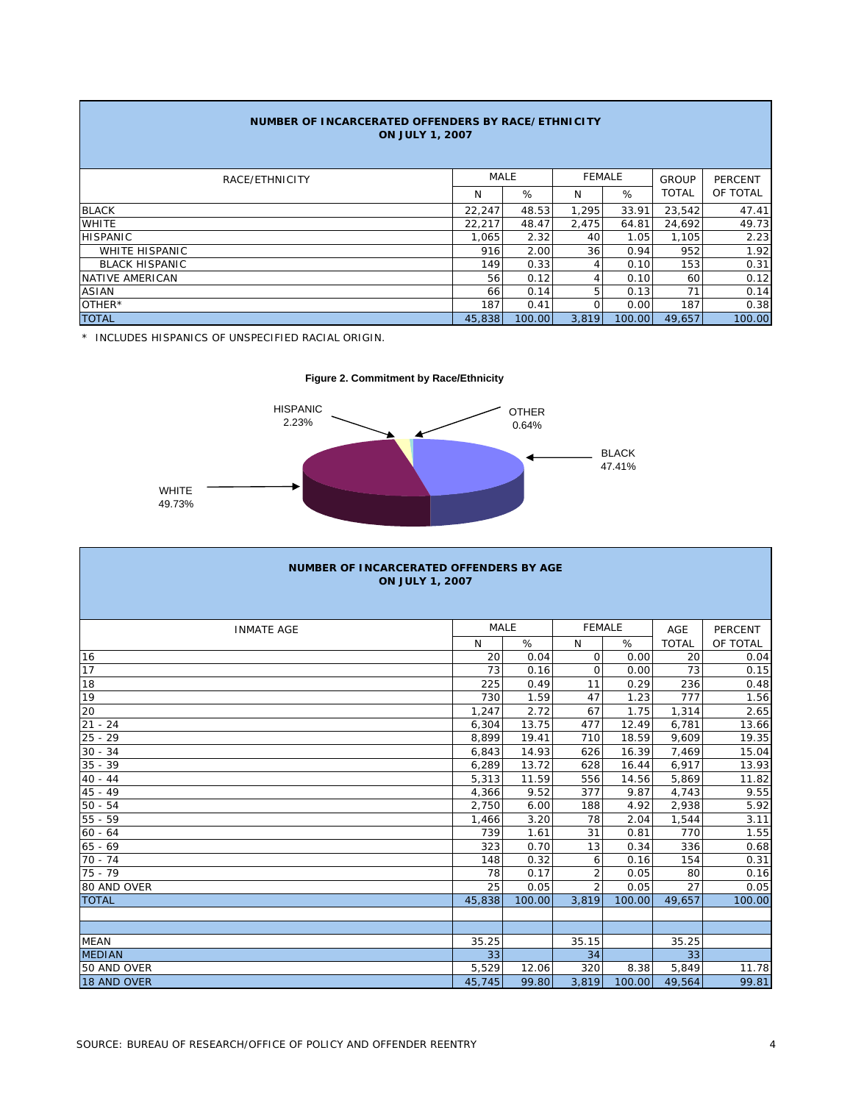| NUMBER OF INCARCERATED OFFENDERS BY RACE/ETHNICITY<br><b>ON JULY 1, 2007</b> |        |             |          |               |              |                |  |  |  |
|------------------------------------------------------------------------------|--------|-------------|----------|---------------|--------------|----------------|--|--|--|
| RACE/ETHNICITY                                                               |        | <b>MALE</b> |          | <b>FEMALE</b> | <b>GROUP</b> | <b>PERCENT</b> |  |  |  |
|                                                                              | N      | %           | N        | %             | <b>TOTAL</b> | OF TOTAL       |  |  |  |
| <b>BLACK</b>                                                                 | 22,247 | 48.53       | 1,295    | 33.91         | 23,542       | 47.41          |  |  |  |
| <b>WHITE</b>                                                                 | 22,217 | 48.47       | 2,475    | 64.81         | 24.692       | 49.73          |  |  |  |
| <b>HISPANIC</b>                                                              | 1.065  | 2.32        | 40       | 1.05          | 1.105        | 2.23           |  |  |  |
| <b>WHITE HISPANIC</b>                                                        | 916    | 2.00        | 36       | 0.94          | 952          | 1.92           |  |  |  |
| <b>BLACK HISPANIC</b>                                                        | 149    | 0.33        | 4        | 0.10          | 153          | 0.31           |  |  |  |
| NATIVE AMERICAN                                                              | 56     | 0.12        | 4        | 0.10          | 60           | 0.12           |  |  |  |
| <b>ASIAN</b>                                                                 | 66     | 0.14        | 5        | 0.13          | 71           | 0.14           |  |  |  |
| OTHER*                                                                       | 187    | 0.41        | $\Omega$ | 0.00          | 187          | 0.38           |  |  |  |
| <b>TOTAL</b>                                                                 | 45,838 | 100.00      | 3.819    | 100.00        | 49.657       | 100.00         |  |  |  |

\* INCLUDES HISPANICS OF UNSPECIFIED RACIAL ORIGIN.





| <b>NUMBER OF INCARCERATED OFFENDERS BY AGE</b><br><b>ON JULY 1, 2007</b> |             |        |                |        |              |          |  |  |  |  |
|--------------------------------------------------------------------------|-------------|--------|----------------|--------|--------------|----------|--|--|--|--|
| <b>INMATE AGE</b>                                                        | <b>MALE</b> |        | <b>FEMALE</b>  |        | <b>AGE</b>   | PERCENT  |  |  |  |  |
|                                                                          | N           | %      | N              | %      | <b>TOTAL</b> | OF TOTAL |  |  |  |  |
| 16                                                                       | 20          | 0.04   | $\mathbf 0$    | 0.00   | 20           | 0.04     |  |  |  |  |
| 17                                                                       | 73          | 0.16   | $\mathbf 0$    | 0.00   | 73           | 0.15     |  |  |  |  |
| 18                                                                       | 225         | 0.49   | 11             | 0.29   | 236          | 0.48     |  |  |  |  |
| 19                                                                       | 730         | 1.59   | 47             | 1.23   | 777          | 1.56     |  |  |  |  |
| 20                                                                       | 1,247       | 2.72   | 67             | 1.75   | 1,314        | 2.65     |  |  |  |  |
| $21 - 24$                                                                | 6,304       | 13.75  | 477            | 12.49  | 6,781        | 13.66    |  |  |  |  |
| $25 - 29$                                                                | 8,899       | 19.41  | 710            | 18.59  | 9,609        | 19.35    |  |  |  |  |
| $30 - 34$                                                                | 6.843       | 14.93  | 626            | 16.39  | 7.469        | 15.04    |  |  |  |  |
| $35 - 39$                                                                | 6,289       | 13.72  | 628            | 16.44  | 6,917        | 13.93    |  |  |  |  |
| $40 - 44$                                                                | 5,313       | 11.59  | 556            | 14.56  | 5,869        | 11.82    |  |  |  |  |
| $45 - 49$                                                                | 4,366       | 9.52   | 377            | 9.87   | 4,743        | 9.55     |  |  |  |  |
| $50 - 54$                                                                | 2,750       | 6.00   | 188            | 4.92   | 2,938        | 5.92     |  |  |  |  |
| $55 - 59$                                                                | 1,466       | 3.20   | 78             | 2.04   | 1,544        | 3.11     |  |  |  |  |
| $60 - 64$                                                                | 739         | 1.61   | 31             | 0.81   | 770          | 1.55     |  |  |  |  |
| $65 - 69$                                                                | 323         | 0.70   | 13             | 0.34   | 336          | 0.68     |  |  |  |  |
| $70 - 74$                                                                | 148         | 0.32   | 6              | 0.16   | 154          | 0.31     |  |  |  |  |
| $75 - 79$                                                                | 78          | 0.17   | $\overline{2}$ | 0.05   | 80           | 0.16     |  |  |  |  |
| 80 AND OVER                                                              | 25          | 0.05   | $\mathcal{P}$  | 0.05   | 27           | 0.05     |  |  |  |  |
| <b>TOTAL</b>                                                             | 45.838      | 100.00 | 3.819          | 100.00 | 49,657       | 100.00   |  |  |  |  |
|                                                                          |             |        |                |        |              |          |  |  |  |  |
|                                                                          |             |        |                |        |              |          |  |  |  |  |
| <b>MEAN</b>                                                              | 35.25       |        | 35.15          |        | 35.25        |          |  |  |  |  |
| <b>MEDIAN</b>                                                            | 33          |        | 34             |        | 33           |          |  |  |  |  |
| 50 AND OVER                                                              | 5,529       | 12.06  | 320            | 8.38   | 5,849        | 11.78    |  |  |  |  |
| 18 AND OVER                                                              | 45,745      | 99.80  | 3,819          | 100.00 | 49,564       | 99.81    |  |  |  |  |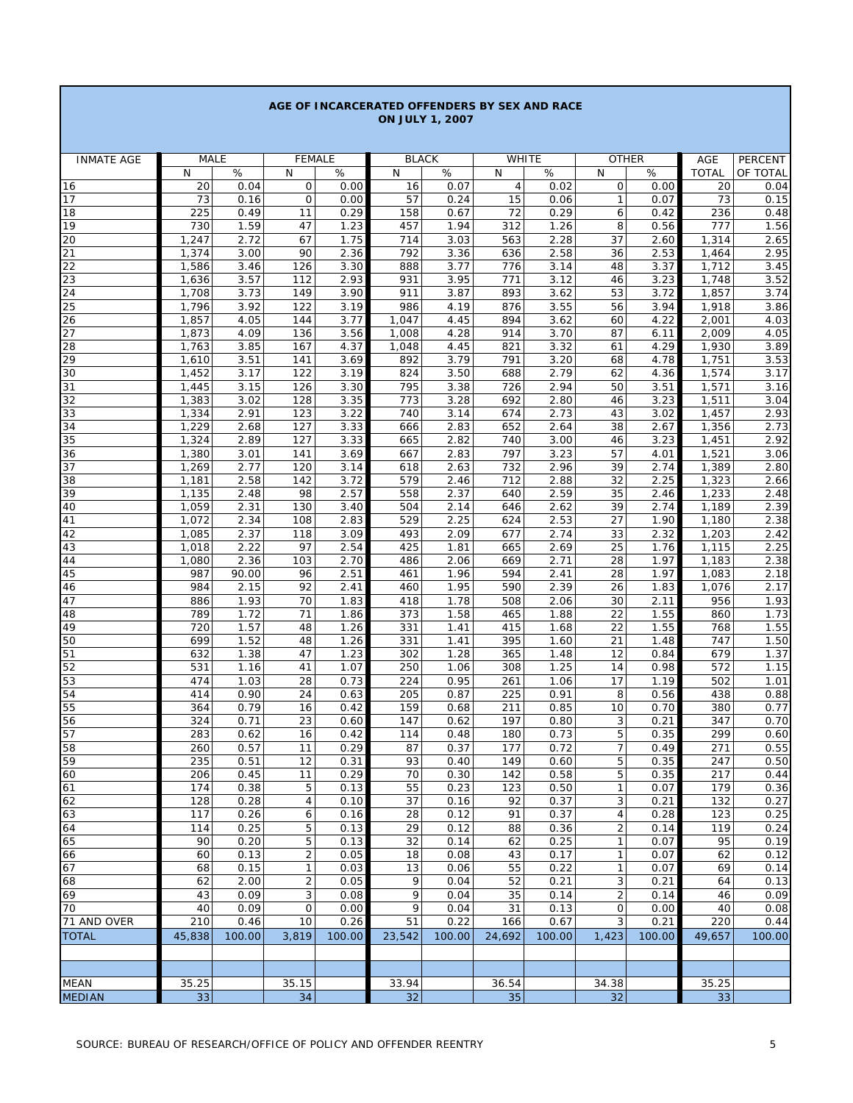| <b>ON JULY 1, 2007</b> |                |              |                   |              |                         |              |                     |              |                                |              |                    |                  |
|------------------------|----------------|--------------|-------------------|--------------|-------------------------|--------------|---------------------|--------------|--------------------------------|--------------|--------------------|------------------|
|                        |                |              |                   |              |                         |              |                     |              |                                |              |                    |                  |
| <b>INMATE AGE</b>      | <b>MALE</b>    |              | <b>FEMALE</b>     |              | <b>BLACK</b>            |              | WHITE               |              | <b>OTHER</b>                   |              | AGE                | PERCENT          |
| 16                     | N<br>20        | $\%$<br>0.04 | N<br>$\mathsf{O}$ | $\%$<br>0.00 | N<br>16                 | $\%$<br>0.07 | N<br>$\overline{4}$ | $\%$<br>0.02 | N<br>0                         | %<br>0.00    | <b>TOTAL</b><br>20 | OF TOTAL<br>0.04 |
| 17                     | 73             | 0.16         | $\mathbf 0$       | 0.00         | 57                      | 0.24         | 15                  | 0.06         | $\mathbf{1}$                   | 0.07         | 73                 | 0.15             |
| 18                     | 225            | 0.49         | 11                | 0.29         | 158                     | 0.67         | 72                  | 0.29         | 6                              | 0.42         | 236                | 0.48             |
| 19                     | 730            | 1.59         | 47                | 1.23         | 457                     | 1.94         | 312                 | 1.26         | 8                              | 0.56         | 777                | 1.56             |
| 20                     | 1,247          | 2.72         | 67                | 1.75         | 714                     | 3.03         | 563                 | 2.28         | 37                             | 2.60         | 1,314              | 2.65             |
| 21                     | 1,374          | 3.00         | 90                | 2.36         | 792                     | 3.36         | 636                 | 2.58         | 36                             | 2.53         | 1,464              | 2.95             |
| 22                     | 1,586          | 3.46         | 126               | 3.30<br>2.93 | 888                     | 3.77         | 776                 | 3.14         | 48                             | 3.37         | 1,712              | 3.45             |
| 23<br>24               | 1,636<br>1,708 | 3.57<br>3.73 | 112<br>149        | 3.90         | 931<br>911              | 3.95<br>3.87 | 771<br>893          | 3.12<br>3.62 | 46<br>53                       | 3.23<br>3.72 | 1,748<br>1,857     | 3.52<br>3.74     |
| 25                     | 1,796          | 3.92         | 122               | 3.19         | 986                     | 4.19         | 876                 | 3.55         | 56                             | 3.94         | 1,918              | 3.86             |
| 26                     | 1,857          | 4.05         | 144               | 3.77         | 1,047                   | 4.45         | 894                 | 3.62         | 60                             | 4.22         | 2,001              | 4.03             |
| 27                     | 1,873          | 4.09         | 136               | 3.56         | 1,008                   | 4.28         | 914                 | 3.70         | 87                             | 6.11         | 2,009              | 4.05             |
| 28                     | 1,763          | 3.85         | 167               | 4.37         | 1,048                   | 4.45         | 821                 | 3.32         | 61                             | 4.29         | 1,930              | 3.89             |
| 29                     | 1,610          | 3.51         | 141               | 3.69         | 892                     | 3.79         | 791                 | 3.20         | 68                             | 4.78         | 1,751              | 3.53             |
| 30                     | 1,452          | 3.17         | 122               | 3.19         | 824                     | 3.50         | 688                 | 2.79         | 62                             | 4.36         | 1,574              | 3.17             |
| 31<br>32               | 1,445<br>1,383 | 3.15<br>3.02 | 126<br>128        | 3.30<br>3.35 | 795<br>$\overline{773}$ | 3.38<br>3.28 | 726<br>692          | 2.94<br>2.80 | 50<br>46                       | 3.51<br>3.23 | 1,571<br>1,511     | 3.16<br>3.04     |
| 33                     | 1,334          | 2.91         | 123               | 3.22         | 740                     | 3.14         | 674                 | 2.73         | 43                             | 3.02         | 1,457              | 2.93             |
| 34                     | 1,229          | 2.68         | 127               | 3.33         | 666                     | 2.83         | 652                 | 2.64         | 38                             | 2.67         | 1,356              | 2.73             |
| 35                     | 1,324          | 2.89         | 127               | 3.33         | 665                     | 2.82         | 740                 | 3.00         | 46                             | 3.23         | 1,451              | 2.92             |
| 36                     | 1,380          | 3.01         | 141               | 3.69         | 667                     | 2.83         | 797                 | 3.23         | 57                             | 4.01         | 1,521              | 3.06             |
| 37                     | 1,269          | 2.77         | 120               | 3.14         | 618                     | 2.63         | 732                 | 2.96         | 39                             | 2.74         | 1,389              | 2.80             |
| 38                     | 1,181          | 2.58         | 142               | 3.72         | 579                     | 2.46         | 712                 | 2.88         | 32                             | 2.25         | 1,323              | 2.66             |
| 39<br>40               | 1,135<br>1,059 | 2.48<br>2.31 | 98<br>130         | 2.57<br>3.40 | 558<br>504              | 2.37<br>2.14 | 640<br>646          | 2.59<br>2.62 | 35<br>39                       | 2.46<br>2.74 | 1,233<br>1,189     | 2.48<br>2.39     |
| 41                     | 1,072          | 2.34         | 108               | 2.83         | 529                     | 2.25         | 624                 | 2.53         | 27                             | 1.90         | 1,180              | 2.38             |
| 42                     | 1,085          | 2.37         | 118               | 3.09         | 493                     | 2.09         | 677                 | 2.74         | 33                             | 2.32         | 1,203              | 2.42             |
| 43                     | 1,018          | 2.22         | 97                | 2.54         | 425                     | 1.81         | 665                 | 2.69         | 25                             | 1.76         | 1,115              | 2.25             |
| 44                     | 1,080          | 2.36         | 103               | 2.70         | 486                     | 2.06         | 669                 | 2.71         | 28                             | 1.97         | 1,183              | 2.38             |
| 45                     | 987            | 90.00        | 96                | 2.51         | 461                     | 1.96         | 594                 | 2.41         | 28                             | 1.97         | 1,083              | 2.18             |
| 46                     | 984            | 2.15         | 92                | 2.41         | 460                     | 1.95         | 590                 | 2.39         | 26                             | 1.83         | 1,076              | 2.17             |
| 47<br>48               | 886<br>789     | 1.93<br>1.72 | 70<br>71          | 1.83<br>1.86 | 418<br>373              | 1.78<br>1.58 | 508<br>465          | 2.06<br>1.88 | 30<br>22                       | 2.11<br>1.55 | 956<br>860         | 1.93<br>1.73     |
| 49                     | 720            | 1.57         | 48                | 1.26         | 331                     | 1.41         | 415                 | 1.68         | 22                             | 1.55         | 768                | 1.55             |
| 50                     | 699            | 1.52         | 48                | 1.26         | 331                     | 1.41         | 395                 | 1.60         | 21                             | 1.48         | 747                | 1.50             |
| 51                     | 632            | 1.38         | 47                | 1.23         | 302                     | 1.28         | 365                 | 1.48         | 12                             | 0.84         | 679                | 1.37             |
| 52                     | 531            | 1.16         | 41                | 1.07         | 250                     | 1.06         | 308                 | 1.25         | 14                             | 0.98         | 572                | 1.15             |
| 53                     | 474            | 1.03         | 28                | 0.73         | 224                     | 0.95         | 261                 | 1.06         | 17                             | 1.19         | 502                | 1.01             |
| 54                     | 414            | 0.90         | 24                | 0.63         | 205                     | 0.87         | 225                 | 0.91         | 8                              | 0.56         | 438                | 0.88             |
| 55<br>56               | 364<br>324     | 0.79<br>0.71 | 16<br>23          | 0.42<br>0.60 | 159<br>147              | 0.68<br>0.62 | 211<br>197          | 0.85<br>0.80 | 10<br>3                        | 0.70<br>0.21 | 380<br>347         | 0.77<br>0.70     |
| 57                     | 283            | 0.62         | 16                | 0.42         | 114                     | 0.48         | 180                 | 0.73         | 5                              | 0.35         | 299                | 0.60             |
| 58                     | 260            | 0.57         | 11                | 0.29         | 87                      | 0.37         | 177                 | 0.72         | 7                              | 0.49         | 271                | 0.55             |
| 59                     | 235            | 0.51         | 12                | 0.31         | 93                      | 0.40         | 149                 | 0.60         | 5                              | 0.35         | 247                | 0.50             |
| 60                     | 206            | 0.45         | 11                | 0.29         | 70                      | 0.30         | 142                 | 0.58         | 5                              | 0.35         | 217                | 0.44             |
| 61                     | 174            | 0.38         | 5                 | 0.13         | 55                      | 0.23         | 123                 | 0.50         | $\mathbf{1}$                   | 0.07         | 179                | 0.36             |
| 62                     | 128            | 0.28         | 4                 | 0.10         | $\overline{37}$         | 0.16         | 92                  | 0.37         | 3                              | 0.21         | $\overline{132}$   | 0.27             |
| 63                     | 117            | 0.26         | 6                 | 0.16         | 28                      | 0.12         | 91                  | 0.37         | $\overline{4}$                 | 0.28         | 123                | 0.25             |
| 64<br>65               | 114<br>90      | 0.25<br>0.20 | 5<br>5            | 0.13<br>0.13 | 29<br>32                | 0.12<br>0.14 | 88<br>62            | 0.36<br>0.25 | $\overline{2}$<br>$\mathbf{1}$ | 0.14<br>0.07 | 119<br>95          | 0.24<br>0.19     |
| 66                     | 60             | 0.13         | 2                 | 0.05         | 18                      | 0.08         | 43                  | 0.17         | $\mathbf{1}$                   | 0.07         | 62                 | 0.12             |
| 67                     | 68             | 0.15         | $\mathbf{1}$      | 0.03         | 13                      | 0.06         | 55                  | 0.22         | $\mathbf{1}$                   | 0.07         | 69                 | 0.14             |
| 68                     | 62             | 2.00         | $\overline{2}$    | 0.05         | 9                       | 0.04         | 52                  | 0.21         | 3                              | 0.21         | 64                 | 0.13             |
| 69                     | 43             | 0.09         | 3                 | 0.08         | 9                       | 0.04         | 35                  | 0.14         | $\overline{c}$                 | 0.14         | 46                 | 0.09             |
| 70                     | 40             | 0.09         | 0                 | 0.00         | 9                       | 0.04         | 31                  | 0.13         | 0                              | 0.00         | 40                 | 0.08             |
| 71 AND OVER            | 210            | 0.46         | 10                | 0.26         | 51                      | 0.22         | 166                 | 0.67         | 3                              | 0.21         | 220                | 0.44             |
| <b>TOTAL</b>           | 45,838         | 100.00       | 3,819             | 100.00       | 23,542                  | 100.00       | 24,692              | 100.00       | 1,423                          | 100.00       | 49,657             | 100.00           |
|                        |                |              |                   |              |                         |              |                     |              |                                |              |                    |                  |
|                        |                |              |                   |              |                         |              |                     |              |                                |              |                    |                  |
| MEAN                   | 35.25          |              | 35.15             |              | 33.94                   |              | 36.54               |              | 34.38                          |              | 35.25              |                  |
| <b>MEDIAN</b>          | 33             |              | 34                |              | 32                      |              | 35                  |              | 32                             |              | 33                 |                  |

**AGE OF INCARCERATED OFFENDERS BY SEX AND RACE**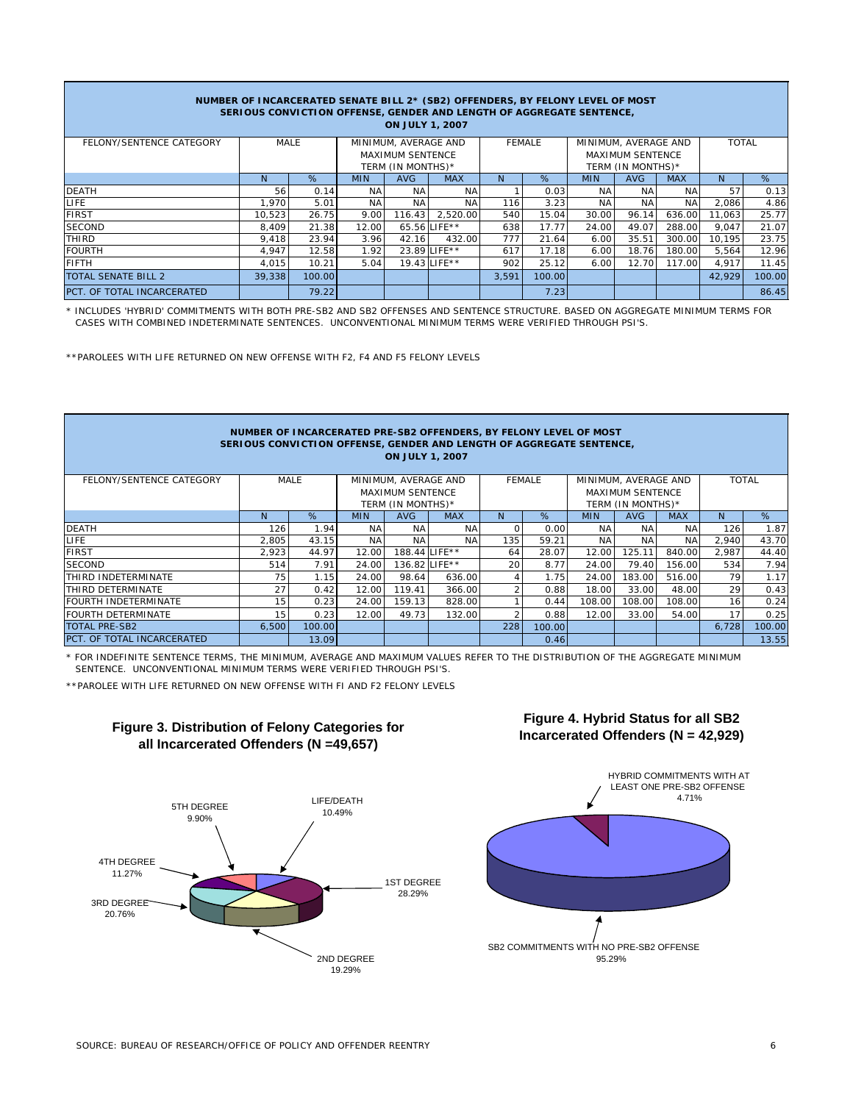| NUMBER OF INCARCERATED SENATE BILL 2* (SB2) OFFENDERS, BY FELONY LEVEL OF MOST<br>SERIOUS CONVICTION OFFENSE, GENDER AND LENGTH OF AGGREGATE SENTENCE,<br><b>ON JULY 1, 2007</b> |        |        |            |                         |               |       |                   |            |                         |              |        |        |
|----------------------------------------------------------------------------------------------------------------------------------------------------------------------------------|--------|--------|------------|-------------------------|---------------|-------|-------------------|------------|-------------------------|--------------|--------|--------|
| FELONY/SENTENCE CATEGORY                                                                                                                                                         | MALE   |        |            | MINIMUM, AVERAGE AND    |               |       | <b>FEMALE</b>     |            | MINIMUM, AVERAGE AND    | <b>TOTAL</b> |        |        |
|                                                                                                                                                                                  |        |        |            | <b>MAXIMUM SENTENCE</b> |               |       |                   |            | <b>MAXIMUM SENTENCE</b> |              |        |        |
|                                                                                                                                                                                  |        |        |            | TERM (IN MONTHS)*       |               |       | TERM (IN MONTHS)* |            |                         |              |        |        |
|                                                                                                                                                                                  | N      | %      | <b>MIN</b> | <b>AVG</b>              | <b>MAX</b>    | N     | %                 | <b>MIN</b> | <b>AVG</b>              | <b>MAX</b>   | N.     | %      |
| <b>DEATH</b>                                                                                                                                                                     | 56     | 0.14   | NA         | NA.                     | NA.           |       | 0.03              | NA.        | NA                      | NA           | 57     | 0.13   |
| LIFE.                                                                                                                                                                            | 1.970  | 5.01   | <b>NA</b>  | <b>NA</b>               | <b>NA</b>     | 116   | 3.23              | <b>NA</b>  | <b>NA</b>               | <b>NA</b>    | 2,086  | 4.86   |
| <b>FIRST</b>                                                                                                                                                                     | 10.523 | 26.75  | 9.00       | 116.43                  | 2.520.00      | 540   | 15.04             | 30.00      | 96.14                   | 636.00       | 11,063 | 25.77  |
| <b>SECOND</b>                                                                                                                                                                    | 8,409  | 21.38  | 12.00      |                         | 65.56 LIFE**  | 638   | 17.77             | 24.00      | 49.07                   | 288.00       | 9,047  | 21.07  |
| THIRD                                                                                                                                                                            | 9.418  | 23.94  | 3.96       | 42.16                   | 432.00        | 777   | 21.64             | 6.00       | 35.51                   | 300.00       | 10,195 | 23.75  |
| <b>FOURTH</b>                                                                                                                                                                    | 4,947  | 12.58  | 1.92       |                         | 23.89 LIFE ** | 617   | 17.18             | 6.00       | 18.76                   | 180.00       | 5,564  | 12.96  |
| <b>FIFTH</b>                                                                                                                                                                     | 4.015  | 10.21  | 5.04       |                         | 19.43 LIFE**  | 902   | 25.12             | 6.00       | 12.70                   | 117.00       | 4,917  | 11.45  |
| TOTAL SENATE BILL 2                                                                                                                                                              | 39,338 | 100.00 |            |                         |               | 3,591 | 100.00            |            |                         |              | 42,929 | 100.00 |
| PCT. OF TOTAL INCARCERATED                                                                                                                                                       |        | 79.22  |            |                         |               |       | 7.23              |            |                         |              |        | 86.45  |

\* INCLUDES 'HYBRID' COMMITMENTS WITH BOTH PRE-SB2 AND SB2 OFFENSES AND SENTENCE STRUCTURE. BASED ON AGGREGATE MINIMUM TERMS FOR CASES WITH COMBINED INDETERMINATE SENTENCES. UNCONVENTIONAL MINIMUM TERMS WERE VERIFIED THROUGH PSI'S.

\*\*PAROLEES WITH LIFE RETURNED ON NEW OFFENSE WITH F2, F4 AND F5 FELONY LEVELS

| NUMBER OF INCARCERATED PRE-SB2 OFFENDERS, BY FELONY LEVEL OF MOST<br>SERIOUS CONVICTION OFFENSE, GENDER AND LENGTH OF AGGREGATE SENTENCE,<br><b>ON JULY 1, 2007</b> |       |             |                                              |            |                      |     |               |            |                                              |              |       |        |
|---------------------------------------------------------------------------------------------------------------------------------------------------------------------|-------|-------------|----------------------------------------------|------------|----------------------|-----|---------------|------------|----------------------------------------------|--------------|-------|--------|
| FELONY/SENTENCE CATEGORY                                                                                                                                            |       | <b>MALE</b> |                                              |            | MINIMUM, AVERAGE AND |     | <b>FEMALE</b> |            | MINIMUM, AVERAGE AND                         | <b>TOTAL</b> |       |        |
|                                                                                                                                                                     |       |             | <b>MAXIMUM SENTENCE</b><br>TERM (IN MONTHS)* |            |                      |     |               |            | <b>MAXIMUM SENTENCE</b><br>TERM (IN MONTHS)* |              |       |        |
|                                                                                                                                                                     | N.    | %           | <b>MIN</b>                                   | <b>AVG</b> | <b>MAX</b>           | N.  | %             | <b>MIN</b> | <b>AVG</b>                                   | <b>MAX</b>   | N     | %      |
| <b>DEATH</b>                                                                                                                                                        | 126   | 1.94        | <b>NA</b>                                    | <b>NA</b>  | <b>NA</b>            |     | 0.00          | <b>NA</b>  | <b>NA</b>                                    | <b>NA</b>    | 126   | 1.87   |
| LIFE                                                                                                                                                                | 2,805 | 43.15       | <b>NA</b>                                    | <b>NA</b>  | <b>NA</b>            | 135 | 59.21         | <b>NA</b>  | <b>NA</b>                                    | <b>NA</b>    | 2,940 | 43.70  |
| <b>FIRST</b>                                                                                                                                                        | 2,923 | 44.97       | 12.00                                        |            | 188.44 LIFE**        | 64  | 28.07         | 12.00      | 125.11                                       | 840.00       | 2,987 | 44.40  |
| <b>SECOND</b>                                                                                                                                                       | 514   | 7.91        | 24.00                                        |            | 136.82 LIFE**        | 20  | 8.77          | 24.00      | 79.40                                        | 156.00       | 534   | 7.94   |
| THIRD INDETERMINATE                                                                                                                                                 | 75    | 1.15        | 24.00                                        | 98.64      | 636.00               |     | 1.75          | 24.00      | 183.00                                       | 516.00       | 79    | 1.17   |
| THIRD DETERMINATE                                                                                                                                                   | 27    | 0.42        | 12.00                                        | 119.41     | 366.00               |     | 0.88          | 18.00      | 33.00                                        | 48.00        | 29    | 0.43   |
| FOURTH INDETERMINATE                                                                                                                                                | 15    | 0.23        | 24.00                                        | 159.13     | 828.00               |     | 0.44          | 108.00     | 108.00                                       | 108.00       | 16    | 0.24   |
| <b>FOURTH DETERMINATE</b>                                                                                                                                           | 15    | 0.23        | 12.00                                        | 49.73      | 132.00               |     | 0.88          | 12.00      | 33.00                                        | 54.00        | 17    | 0.25   |
| <b>TOTAL PRE-SB2</b>                                                                                                                                                | 6.500 | 100.00      |                                              |            |                      | 228 | 100.00        |            |                                              |              | 6,728 | 100.00 |
| PCT. OF TOTAL INCARCERATED                                                                                                                                          |       | 13.09       |                                              |            |                      |     | 0.46          |            |                                              |              |       | 13.55  |

\* FOR INDEFINITE SENTENCE TERMS, THE MINIMUM, AVERAGE AND MAXIMUM VALUES REFER TO THE DISTRIBUTION OF THE AGGREGATE MINIMUM SENTENCE. UNCONVENTIONAL MINIMUM TERMS WERE VERIFIED THROUGH PSI'S.

\*\*PAROLEE WITH LIFE RETURNED ON NEW OFFENSE WITH FI AND F2 FELONY LEVELS



## **Figure 3. Distribution of Felony Categories for all Incarcerated Offenders (N =49,657)**



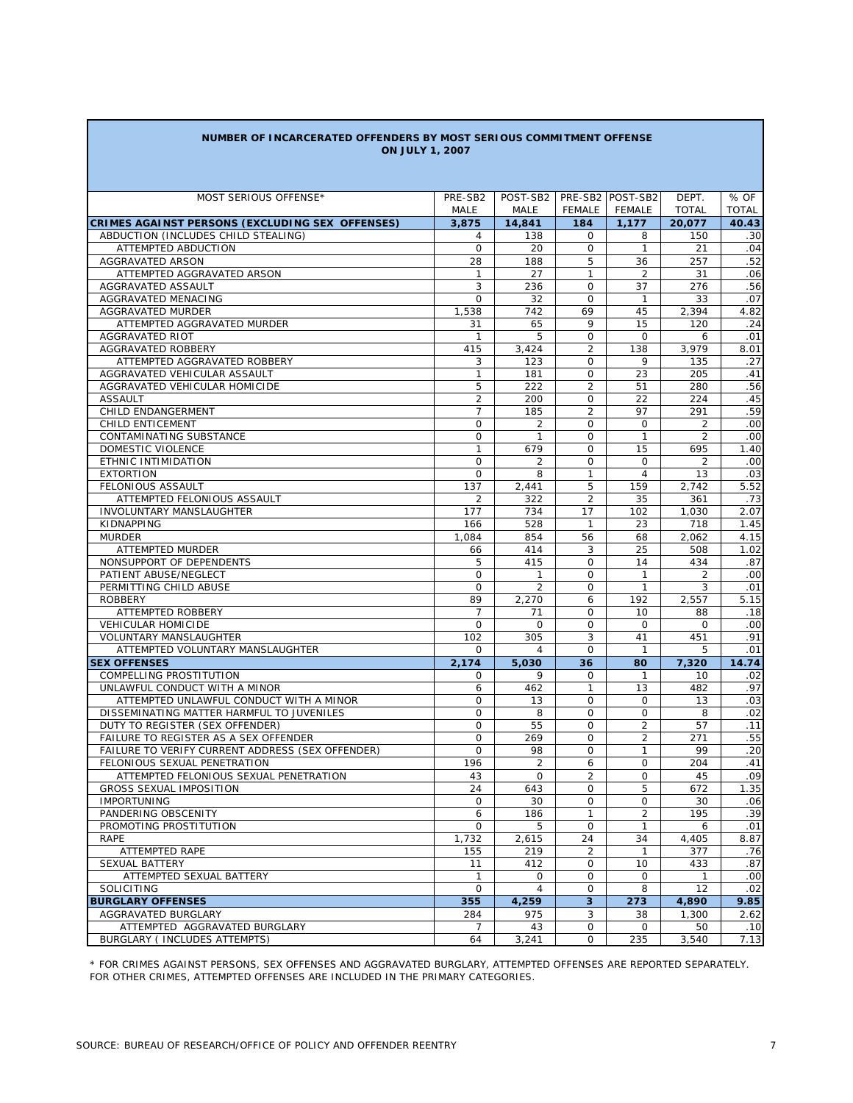| NUMBER OF INCARCERATED OFFENDERS BY MOST SERIOUS COMMITMENT OFFENSE |  |
|---------------------------------------------------------------------|--|
| <b>ON JULY 1, 2007</b>                                              |  |

| MOST SERIOUS OFFENSE*                            | PRE-SB2        | POST-SB2       |                | PRE-SB2 POST-SB2 | DEPT.          | % OF         |
|--------------------------------------------------|----------------|----------------|----------------|------------------|----------------|--------------|
|                                                  | MALE           | MALE           | <b>FEMALE</b>  | FEMALE           | <b>TOTAL</b>   | <b>TOTAL</b> |
| CRIMES AGAINST PERSONS (EXCLUDING SEX OFFENSES)  | 3,875          | 14,841         | 184            | 1,177            | 20,077         | 40.43        |
| ABDUCTION (INCLUDES CHILD STEALING)              | 4              | 138            | 0              | 8                | 150            | .30          |
| ATTEMPTED ABDUCTION                              | $\mathsf{O}$   | 20             | 0              | $\mathbf{1}$     | 21             | .04          |
| AGGRAVATED ARSON                                 | 28             | 188            | 5              | 36               | 257            | .52          |
| ATTEMPTED AGGRAVATED ARSON                       | 1              | 27             | 1              | 2                | 31             | .06          |
| AGGRAVATED ASSAULT                               | 3              | 236            | 0              | 37               | 276            | .56          |
| AGGRAVATED MENACING                              | $\circ$        | 32             | O              | $\mathbf{1}$     | 33             | .07          |
| <b>AGGRAVATED MURDER</b>                         | 1,538          | 742            | 69             | 45               | 2,394          | 4.82         |
| ATTEMPTED AGGRAVATED MURDER                      | 31             | 65             | 9              | 15               | 120            | .24          |
| <b>AGGRAVATED RIOT</b>                           | 1              | 5              | 0              | 0                | 6              | .01          |
| AGGRAVATED ROBBERY                               | 415            | 3,424          | $\overline{2}$ | 138              | 3,979          | 8.01         |
| ATTEMPTED AGGRAVATED ROBBERY                     | 3              | 123            | O              | 9                | 135            | .27          |
| AGGRAVATED VEHICULAR ASSAULT                     | 1              | 181            | O              | 23               | 205            | .41          |
| AGGRAVATED VEHICULAR HOMICIDE                    | 5              | 222            | $\overline{2}$ | 51               | 280            | .56          |
| <b>ASSAULT</b>                                   | $\overline{2}$ | 200            | $\mathbf 0$    | 22               | 224            | .45          |
| CHILD ENDANGERMENT                               | $\overline{7}$ | 185            | $\overline{2}$ | 97               | 291            | .59          |
| <b>CHILD ENTICEMENT</b>                          | 0              | 2              | $\mathbf 0$    | $\mathsf O$      | $\overline{2}$ | .00          |
| CONTAMINATING SUBSTANCE                          | 0              | $\mathbf{1}$   | 0              | $\mathbf{1}$     | 2              | .00          |
| DOMESTIC VIOLENCE                                | $\mathbf{1}$   | 679            | O              | 15               | 695            | 1.40         |
| ETHNIC INTIMIDATION                              | 0              | 2              | O              | $\mathbf 0$      | 2              | .00          |
| <b>EXTORTION</b>                                 | 0              | 8              | 1              | 4                | 13             | .03          |
| FELONIOUS ASSAULT                                | 137            | 2,441          | 5              | 159              | 2.742          | 5.52         |
| ATTEMPTED FELONIOUS ASSAULT                      | 2              | 322            | $\overline{2}$ | 35               | 361            | .73          |
| <b>INVOLUNTARY MANSLAUGHTER</b>                  | 177            | 734            | 17             | 102              | 1,030          | 2.07         |
| KIDNAPPING                                       | 166            | 528            | $\mathbf{1}$   | 23               | 718            | 1.45         |
| <b>MURDER</b>                                    | 1,084          | 854            | 56             | 68               | 2,062          | 4.15         |
| ATTEMPTED MURDER                                 | 66             | 414            | 3              | 25               | 508            | 1.02         |
| NONSUPPORT OF DEPENDENTS                         | 5              | 415            | O              | 14               | 434            | .87          |
| PATIENT ABUSE/NEGLECT                            | 0              | $\mathbf{1}$   | O              | $\mathbf{1}$     | 2              | .00          |
| PERMITTING CHILD ABUSE                           | 0              | $\overline{2}$ | 0              | $\mathbf{1}$     | 3              | .01          |
| <b>ROBBERY</b>                                   | 89             | 2,270          | 6              | 192              | 2,557          | 5.15         |
| ATTEMPTED ROBBERY                                | 7              | 71             | 0              | 10               | 88             | .18          |
| <b>VEHICULAR HOMICIDE</b>                        | 0              | $\mathbf 0$    | 0              | $\mathbf 0$      | $\mathbf 0$    | .00          |
| <b>VOLUNTARY MANSLAUGHTER</b>                    | 102            | 305            | 3              | 41               | 451            | .91          |
| ATTEMPTED VOLUNTARY MANSLAUGHTER                 | 0              | 4              | O              | $\mathbf{1}$     | 5              | .01          |
| <b>SEX OFFENSES</b>                              | 2,174          | 5,030          | 36             | 80               | 7,320          | 14.74        |
| COMPELLING PROSTITUTION                          | 0              | 9              | $\mathbf 0$    | $\mathbf{1}$     | 10             | .02          |
| UNLAWFUL CONDUCT WITH A MINOR                    | 6              | 462            | $\mathbf{1}$   | 13               | 482            | .97          |
| ATTEMPTED UNLAWFUL CONDUCT WITH A MINOR          | $\mathbf 0$    | 13             | $\mathbf 0$    | $\mathbf 0$      | 13             | .03          |
| DISSEMINATING MATTER HARMFUL TO JUVENILES        | 0              | 8              | $\mathbf 0$    | $\mathbf 0$      | 8              | .02          |
| DUTY TO REGISTER (SEX OFFENDER)                  | $\mathbf 0$    | 55             | $\mathbf 0$    | $\overline{2}$   | 57             | .11          |
| FAILURE TO REGISTER AS A SEX OFFENDER            | $\mathbf 0$    | 269            | $\mathbf 0$    | $\overline{2}$   | 271            | .55          |
| FAILURE TO VERIFY CURRENT ADDRESS (SEX OFFENDER) | $\mathbf 0$    | 98             | $\mathbf 0$    | $\mathbf{1}$     | 99             | .20          |
| FELONIOUS SEXUAL PENETRATION                     | 196            | 2              | 6              | $\mathbf 0$      | 204            | .41          |
| ATTEMPTED FELONIOUS SEXUAL PENETRATION           | 43             | $\mathbf 0$    | $\overline{2}$ | $\mathbf 0$      | 45             | .09          |
| <b>GROSS SEXUAL IMPOSITION</b>                   | 24             | 643            | $\mathbf 0$    | 5                | 672            | 1.35         |
| <b>IMPORTUNING</b>                               | $\mathbf 0$    | 30             | $\mathbf 0$    | $\mathbf 0$      | 30             | .06          |
| PANDERING OBSCENITY                              | 6              | 186            | $\mathbf{1}$   | 2                | 195            | .39          |
| PROMOTING PROSTITUTION                           | 0              | 5              | 0              | $\mathbf{1}$     | 6              | .01          |
| RAPE                                             | 1,732          | 2,615          | 24             | 34               | 4,405          | 8.87         |
| ATTEMPTED RAPE                                   | 155            | 219            | $\overline{2}$ | $\mathbf{1}$     | 377            | .76          |
| <b>SEXUAL BATTERY</b>                            | 11             | 412            | 0              | 10               | 433            | .87          |
| ATTEMPTED SEXUAL BATTERY                         | $\mathbf{1}$   | 0              | 0              | $\mathbf 0$      | $\mathbf{1}$   | .00          |
| SOLICITING                                       | 0              | 4              | $\mathbf 0$    | 8                | 12             | .02          |
| <b>BURGLARY OFFENSES</b>                         | 355            | 4,259          | 3              | 273              | 4,890          | 9.85         |
| AGGRAVATED BURGLARY                              | 284            | 975            | 3              | 38               | 1,300          | 2.62         |
| ATTEMPTED AGGRAVATED BURGLARY                    | 7              | 43             | 0              | 0                | 50             | .10          |
| BURGLARY ( INCLUDES ATTEMPTS)                    | 64             | 3,241          | $\mathsf{O}$   | 235              | 3,540          | 7.13         |

\* FOR CRIMES AGAINST PERSONS, SEX OFFENSES AND AGGRAVATED BURGLARY, ATTEMPTED OFFENSES ARE REPORTED SEPARATELY. FOR OTHER CRIMES, ATTEMPTED OFFENSES ARE INCLUDED IN THE PRIMARY CATEGORIES.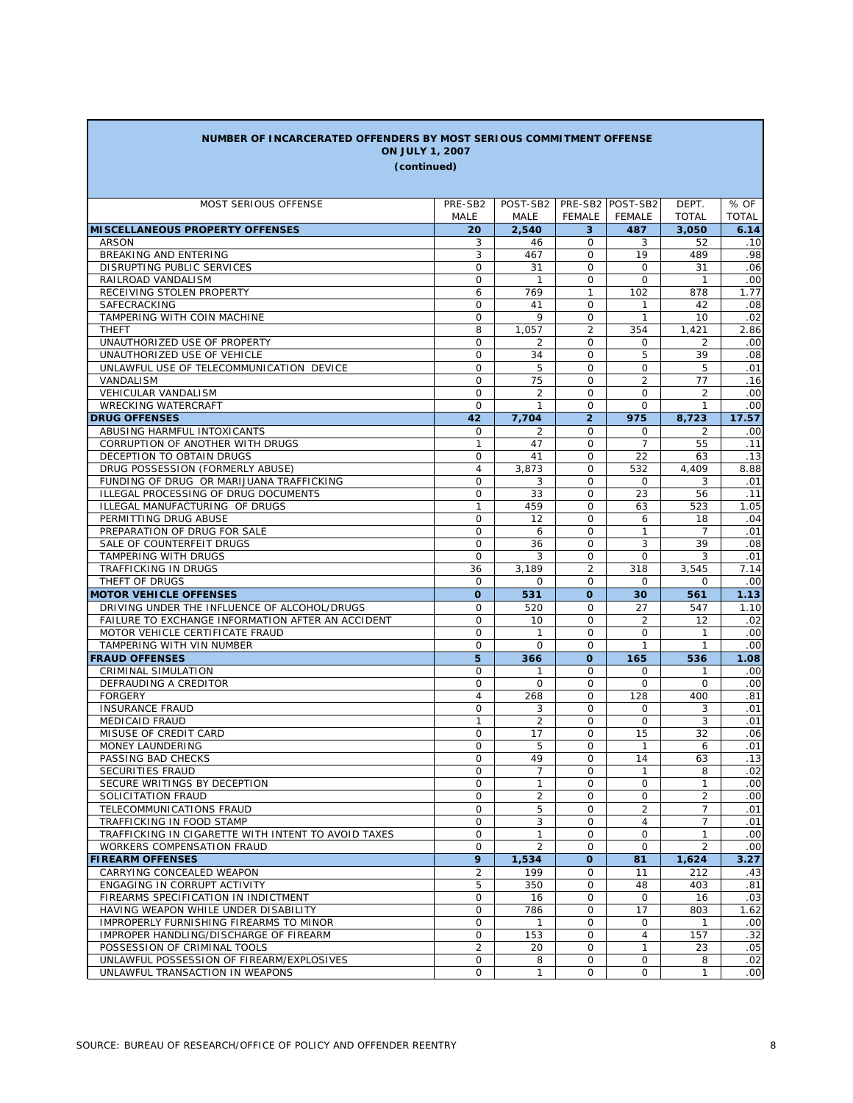| NUMBER OF INCARCERATED OFFENDERS BY MOST SERIOUS COMMITMENT OFFENSE    |                   |                     |                         |                     |                                  |                  |  |
|------------------------------------------------------------------------|-------------------|---------------------|-------------------------|---------------------|----------------------------------|------------------|--|
| <b>ON JULY 1, 2007</b><br>(continued)                                  |                   |                     |                         |                     |                                  |                  |  |
|                                                                        |                   |                     |                         |                     |                                  |                  |  |
| MOST SERIOUS OFFENSE                                                   | PRE-SB2           | POST-SB2            |                         | PRE-SB2 POST-SB2    | DEPT.                            | % OF             |  |
|                                                                        | MALE              | MALE                | <b>FEMALE</b>           | FEMALE              | <b>TOTAL</b>                     | <b>TOTAL</b>     |  |
| <b>MISCELLANEOUS PROPERTY OFFENSES</b>                                 | 20                | 2,540               | 3                       | 487                 | 3,050                            | 6.14             |  |
| <b>ARSON</b>                                                           | 3                 | 46                  | 0                       | 3                   | 52                               | .10              |  |
| BREAKING AND ENTERING                                                  | 3                 | 467                 | $\Omega$                | 19                  | 489                              | .98              |  |
| DISRUPTING PUBLIC SERVICES                                             | 0                 | 31                  | $\Omega$                | $\Omega$            | 31                               | .06              |  |
| RAILROAD VANDALISM                                                     | 0                 | $\mathbf{1}$        | $\Omega$                | $\mathbf 0$         | $\mathbf{1}$                     | .00              |  |
| RECEIVING STOLEN PROPERTY                                              | 6                 | 769                 | $\mathbf{1}$            | 102                 | 878                              | 1.77             |  |
| SAFECRACKING                                                           | 0                 | 41                  | $\Omega$                | $\mathbf{1}$        | 42                               | .08              |  |
| TAMPERING WITH COIN MACHINE                                            | 0                 | 9                   | $\Omega$                | $\mathbf{1}$        | 10                               | .02              |  |
| <b>THEFT</b>                                                           | 8                 | 1,057               | $\overline{2}$          | 354                 | 1,421                            | 2.86             |  |
| UNAUTHORIZED USE OF PROPERTY                                           | 0                 | 2                   | $\Omega$                | 0                   | 2                                | .00              |  |
| UNAUTHORIZED USE OF VEHICLE                                            | 0                 | 34                  | 0                       | 5                   | 39                               | .08              |  |
| UNLAWFUL USE OF TELECOMMUNICATION DEVICE                               | 0                 | 5                   | 0                       | 0                   | 5                                | .01              |  |
| VANDALISM                                                              | 0                 | 75                  | 0                       | $\overline{2}$      | 77                               | .16              |  |
| <b>VEHICULAR VANDALISM</b>                                             | 0                 | 2                   | 0                       | $\Omega$            | $\overline{2}$                   | .00              |  |
| <b>WRECKING WATERCRAFT</b>                                             | 0                 | $\mathbf{1}$        | $\Omega$                | 0                   | $\mathbf{1}$                     | .00              |  |
| <b>DRUG OFFENSES</b>                                                   | 42                | 7,704               | $\overline{2}$          | 975                 | 8,723                            | 17.57            |  |
| ABUSING HARMFUL INTOXICANTS                                            | 0                 | 2                   | 0                       | 0                   | 2                                | .00              |  |
| CORRUPTION OF ANOTHER WITH DRUGS                                       | 1                 | 47                  | 0                       | 7                   | 55                               | .11              |  |
| DECEPTION TO OBTAIN DRUGS                                              | 0                 | 41                  | $\Omega$                | 22                  | 63                               | .13              |  |
| DRUG POSSESSION (FORMERLY ABUSE)                                       | $\overline{4}$    | 3,873               | 0                       | 532                 | 4,409                            | 8.88             |  |
| FUNDING OF DRUG OR MARIJUANA TRAFFICKING                               | 0                 | 3                   | $\Omega$                | 0                   | 3                                | .01              |  |
| ILLEGAL PROCESSING OF DRUG DOCUMENTS<br>ILLEGAL MANUFACTURING OF DRUGS | 0<br>$\mathbf{1}$ | 33<br>459           | $\mathbf 0$<br>$\Omega$ | 23                  | 56<br>523                        | .11<br>1.05      |  |
| PERMITTING DRUG ABUSE                                                  | 0                 | 12                  | $\mathbf 0$             | 63<br>6             | 18                               | .04              |  |
| PREPARATION OF DRUG FOR SALE                                           | 0                 | 6                   | 0                       | 1                   | 7                                | .01              |  |
| SALE OF COUNTERFEIT DRUGS                                              | 0                 | 36                  | $\mathbf 0$             | 3                   | 39                               | .08              |  |
| TAMPERING WITH DRUGS                                                   | 0                 | 3                   | 0                       | 0                   | 3                                | .01              |  |
| TRAFFICKING IN DRUGS                                                   | 36                | 3,189               | 2                       | 318                 | 3,545                            | 7.14             |  |
| THEFT OF DRUGS                                                         | 0                 | 0                   | 0                       | 0                   | 0                                | .00              |  |
| <b>MOTOR VEHICLE OFFENSES</b>                                          | $\mathbf{o}$      | 531                 | $\mathbf{o}$            | 30                  | 561                              | 1.13             |  |
| DRIVING UNDER THE INFLUENCE OF ALCOHOL/DRUGS                           | 0                 | 520                 | 0                       | 27                  | 547                              | 1.10             |  |
| FAILURE TO EXCHANGE INFORMATION AFTER AN ACCIDENT                      | 0                 | 10                  | 0                       | 2                   | 12                               | .02              |  |
| MOTOR VEHICLE CERTIFICATE FRAUD                                        | 0                 | $\mathbf{1}$        | 0                       | 0                   | 1                                | .00              |  |
| TAMPERING WITH VIN NUMBER                                              | 0                 | 0                   | 0                       | $\mathbf{1}$        | $\mathbf{1}$                     | .00              |  |
| <b>FRAUD OFFENSES</b>                                                  | 5                 | 366                 | $\Omega$                | 165                 | 536                              | 1.08             |  |
| CRIMINAL SIMULATION                                                    | 0                 | 1                   | $\mathbf 0$             | 0                   | 1                                | .00              |  |
| DEFRAUDING A CREDITOR                                                  | 0                 | $\Omega$            | $\Omega$                | $\Omega$            | $\Omega$                         | .00              |  |
| <b>FORGERY</b>                                                         | $\overline{4}$    | 268                 | $\mathbf 0$             | 128                 | 400                              | .81              |  |
| <b>INSURANCE FRAUD</b>                                                 | $\circ$           | 3                   | $\mathbf 0$             | 0                   | 3                                | .01              |  |
| <b>MEDICAID FRAUD</b>                                                  | 1                 | 2                   | $\mathbf 0$             | $\mathbf 0$         | 3                                | .01              |  |
| MISUSE OF CREDIT CARD                                                  | $\circ$           | 17                  | $\Omega$                | 15                  | 32                               | .06              |  |
| MONEY LAUNDERING                                                       | $\circ$           | 5                   | $\mathbf 0$             | $\mathbf{1}$        | 6                                | .01              |  |
| PASSING BAD CHECKS                                                     | 0                 | 49                  | 0                       | 14                  | 63                               | .13              |  |
| SECURITIES FRAUD                                                       | 0                 | $\overline{7}$      | 0                       | $\mathbf{1}$        | 8                                | .02              |  |
| SECURE WRITINGS BY DECEPTION                                           | 0<br>0            | $\mathbf{1}$        | 0<br>0                  | $\mathsf{O}$        | 1                                | .00              |  |
| SOLICITATION FRAUD                                                     | 0                 | $\overline{2}$<br>5 | $\mathsf{O}$            | 0<br>$\overline{2}$ | $\overline{2}$<br>$\overline{7}$ | .00<br>.01       |  |
| TELECOMMUNICATIONS FRAUD<br>TRAFFICKING IN FOOD STAMP                  | 0                 | 3                   | 0                       | 4                   | 7                                | .01              |  |
| TRAFFICKING IN CIGARETTE WITH INTENT TO AVOID TAXES                    | $\mathsf{O}$      | $\mathbf{1}$        | $\mathsf{O}$            | $\mathbf 0$         | 1                                | .00              |  |
| <b>WORKERS COMPENSATION FRAUD</b>                                      | $\mathsf{O}$      | $\overline{2}$      | 0                       | 0                   | $\overline{2}$                   | .00              |  |
| <b>FIREARM OFFENSES</b>                                                | 9                 | 1,534               | $\mathbf{o}$            | 81                  | 1,624                            | 3.27             |  |
| CARRYING CONCEALED WEAPON                                              | $\overline{2}$    | 199                 | 0                       | 11                  | 212                              | .43              |  |
| ENGAGING IN CORRUPT ACTIVITY                                           | 5                 | 350                 | 0                       | 48                  | 403                              | .81              |  |
| FIREARMS SPECIFICATION IN INDICTMENT                                   | 0                 | 16                  | 0                       | $\mathbf 0$         | 16                               | .03              |  |
| HAVING WEAPON WHILE UNDER DISABILITY                                   | 0                 | 786                 | $\mathbf 0$             | 17                  | 803                              | 1.62             |  |
| IMPROPERLY FURNISHING FIREARMS TO MINOR                                | 0                 | $\mathbf{1}$        | 0                       | 0                   | $\mathbf{1}$                     | .00              |  |
| IMPROPER HANDLING/DISCHARGE OF FIREARM                                 | 0                 | 153                 | $\mathbf 0$             | 4                   | 157                              | .32              |  |
| POSSESSION OF CRIMINAL TOOLS                                           | $\overline{2}$    | 20                  | 0                       | $\mathbf{1}$        | 23                               | .05              |  |
| UNLAWFUL POSSESSION OF FIREARM/EXPLOSIVES                              | 0                 | 8                   | 0                       | 0                   | 8                                | .02              |  |
| UNLAWFUL TRANSACTION IN WEAPONS                                        | 0                 | 1                   | 0                       | 0                   | $\mathbf{1}$                     | .00 <sub>1</sub> |  |

Г